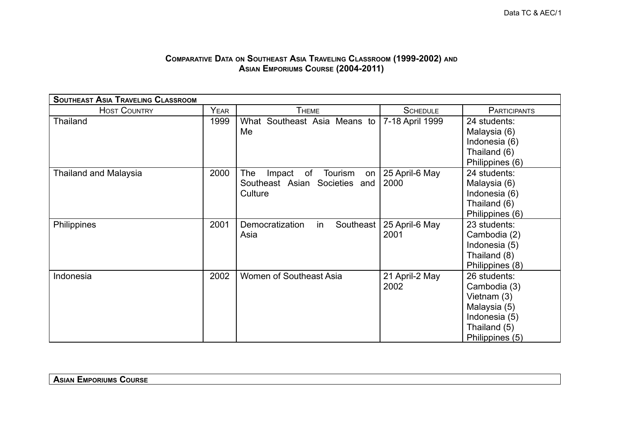## **COMPARATIVE DATA ON SOUTHEAST ASIA TRAVELING CLASSROOM (1999-2002) AND ASIAN EMPORIUMS COURSE (2004-2011)**

| <b>SOUTHEAST ASIA TRAVELING CLASSROOM</b> |             |                                      |                 |                              |  |
|-------------------------------------------|-------------|--------------------------------------|-----------------|------------------------------|--|
| <b>HOST COUNTRY</b>                       | <b>YEAR</b> | <b>THEME</b>                         | <b>SCHEDULE</b> | <b>PARTICIPANTS</b>          |  |
| <b>Thailand</b>                           | 1999        | What Southeast Asia Means to<br>Me   | 7-18 April 1999 | 24 students:<br>Malaysia (6) |  |
|                                           |             |                                      |                 | Indonesia (6)                |  |
|                                           |             |                                      |                 | Thailand (6)                 |  |
|                                           |             |                                      |                 | Philippines (6)              |  |
| <b>Thailand and Malaysia</b>              | 2000        | The<br>of<br>Impact<br>Tourism<br>on | 25 April-6 May  | 24 students:                 |  |
|                                           |             | Southeast Asian Societies and        | 2000            | Malaysia (6)                 |  |
|                                           |             | Culture                              |                 | Indonesia (6)                |  |
|                                           |             |                                      |                 | Thailand (6)                 |  |
|                                           |             |                                      |                 | Philippines (6)              |  |
| Philippines                               | 2001        | Southeast<br>Democratization<br>in   | 25 April-6 May  | 23 students:                 |  |
|                                           |             | Asia                                 | 2001            | Cambodia (2)                 |  |
|                                           |             |                                      |                 | Indonesia (5)                |  |
|                                           |             |                                      |                 | Thailand (8)                 |  |
|                                           |             |                                      |                 | Philippines (8)              |  |
| Indonesia                                 | 2002        | Women of Southeast Asia              | 21 April-2 May  | 26 students:                 |  |
|                                           |             |                                      | 2002            | Cambodia (3)                 |  |
|                                           |             |                                      |                 | Vietnam (3)                  |  |
|                                           |             |                                      |                 | Malaysia (5)                 |  |
|                                           |             |                                      |                 | Indonesia (5)                |  |
|                                           |             |                                      |                 | Thailand (5)                 |  |
|                                           |             |                                      |                 | Philippines (5)              |  |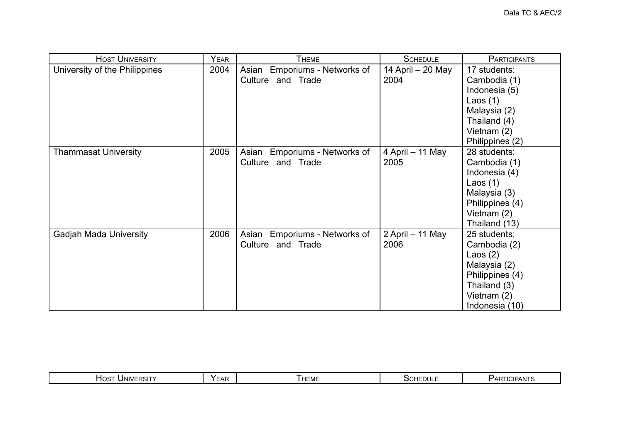| <b>HOST UNIVERSITY</b>        | YEAR | <b>THEME</b>                  | <b>SCHEDULE</b>   | <b>PARTICIPANTS</b> |
|-------------------------------|------|-------------------------------|-------------------|---------------------|
| University of the Philippines | 2004 | Asian Emporiums - Networks of | 14 April - 20 May | 17 students:        |
|                               |      | Culture and Trade             | 2004              | Cambodia (1)        |
|                               |      |                               |                   | Indonesia (5)       |
|                               |      |                               |                   | Laos $(1)$          |
|                               |      |                               |                   | Malaysia (2)        |
|                               |      |                               |                   | Thailand (4)        |
|                               |      |                               |                   | Vietnam (2)         |
|                               |      |                               |                   | Philippines (2)     |
| <b>Thammasat University</b>   | 2005 | Asian Emporiums - Networks of | 4 April - 11 May  | 28 students:        |
|                               |      | Culture and Trade             | 2005              | Cambodia (1)        |
|                               |      |                               |                   | Indonesia (4)       |
|                               |      |                               |                   | Laos $(1)$          |
|                               |      |                               |                   | Malaysia (3)        |
|                               |      |                               |                   | Philippines (4)     |
|                               |      |                               |                   | Vietnam $(2)$       |
|                               |      |                               |                   | Thailand (13)       |
| <b>Gadjah Mada University</b> | 2006 | Asian Emporiums - Networks of | 2 April - 11 May  | 25 students:        |
|                               |      | Culture and Trade             | 2006              | Cambodia (2)        |
|                               |      |                               |                   | Laos $(2)$          |
|                               |      |                               |                   | Malaysia (2)        |
|                               |      |                               |                   | Philippines (4)     |
|                               |      |                               |                   | Thailand (3)        |
|                               |      |                               |                   | Vietnam (2)         |
|                               |      |                               |                   | Indonesia (10)      |

|  | $I$ NIVERSIT<br>⊓OS™<br>וכא | YFAL<br><u>.</u> | HEME | <b>SCHEDULE</b> | <b>ICIPANTS</b><br>$\mathsf{Y}_{\mathsf{AK}}$<br>IC IF |
|--|-----------------------------|------------------|------|-----------------|--------------------------------------------------------|
|--|-----------------------------|------------------|------|-----------------|--------------------------------------------------------|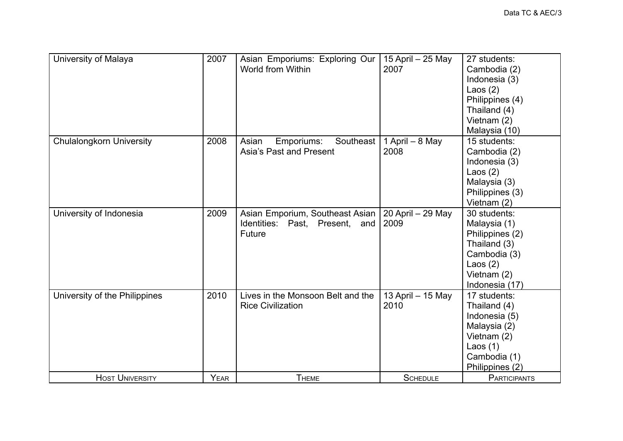| University of Malaya            | 2007 | Asian Emporiums: Exploring Our<br>World from Within                         | 15 April - 25 May<br>2007 | 27 students:<br>Cambodia (2)<br>Indonesia (3)<br>Laos $(2)$<br>Philippines (4)<br>Thailand (4)<br>Vietnam (2)<br>Malaysia (10) |
|---------------------------------|------|-----------------------------------------------------------------------------|---------------------------|--------------------------------------------------------------------------------------------------------------------------------|
| <b>Chulalongkorn University</b> | 2008 | Southeast<br>Asian<br>Emporiums:<br>Asia's Past and Present                 | 1 April - 8 May<br>2008   | 15 students:<br>Cambodia (2)<br>Indonesia (3)<br>Laos $(2)$<br>Malaysia (3)<br>Philippines (3)<br>Vietnam (2)                  |
| University of Indonesia         | 2009 | Asian Emporium, Southeast Asian<br>Identities: Past, Present, and<br>Future | 20 April - 29 May<br>2009 | 30 students:<br>Malaysia (1)<br>Philippines (2)<br>Thailand (3)<br>Cambodia (3)<br>Laos $(2)$<br>Vietnam (2)<br>Indonesia (17) |
| University of the Philippines   | 2010 | Lives in the Monsoon Belt and the<br><b>Rice Civilization</b>               | 13 April - 15 May<br>2010 | 17 students:<br>Thailand (4)<br>Indonesia (5)<br>Malaysia (2)<br>Vietnam (2)<br>Laos $(1)$<br>Cambodia (1)<br>Philippines (2)  |
| <b>HOST UNIVERSITY</b>          | YEAR | <b>THEME</b>                                                                | <b>SCHEDULE</b>           | <b>PARTICIPANTS</b>                                                                                                            |